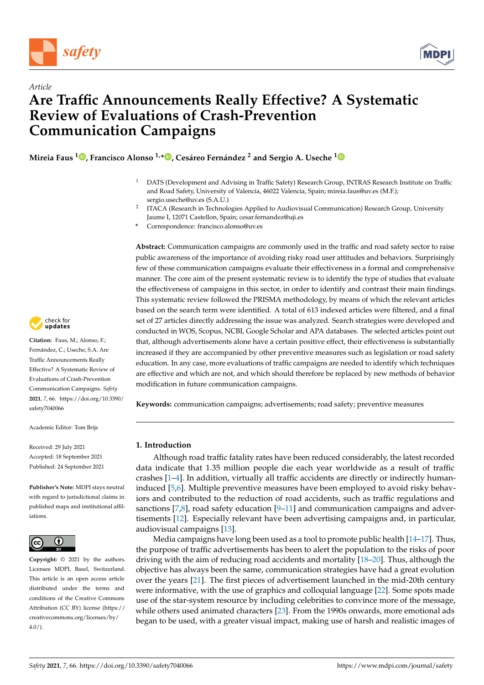

*Article*



# **Are Traffic Announcements Really Effective? A Systematic Review of Evaluations of Crash-Prevention Communication Campaigns**

**Mireia Faus <sup>1</sup> [,](https://orcid.org/0000-0002-8107-7637) Francisco Alonso 1,[\\*](https://orcid.org/0000-0002-9482-8874) , Cesáreo Fernández <sup>2</sup> and Sergio A. Useche [1](https://orcid.org/0000-0002-5099-4627)**

- <sup>1</sup> DATS (Development and Advising in Traffic Safety) Research Group, INTRAS Research Institute on Traffic and Road Safety, University of Valencia, 46022 Valencia, Spain; mireia.faus@uv.es (M.F.); sergio.useche@uv.es (S.A.U.)
- 2 ITACA (Research in Technologies Applied to Audiovisual Communication) Research Group, University Jaume I, 12071 Castellon, Spain; cesar.fernandez@uji.es
- **\*** Correspondence: francisco.alonso@uv.es

**Abstract:** Communication campaigns are commonly used in the traffic and road safety sector to raise public awareness of the importance of avoiding risky road user attitudes and behaviors. Surprisingly few of these communication campaigns evaluate their effectiveness in a formal and comprehensive manner. The core aim of the present systematic review is to identify the type of studies that evaluate the effectiveness of campaigns in this sector, in order to identify and contrast their main findings. This systematic review followed the PRISMA methodology, by means of which the relevant articles based on the search term were identified. A total of 613 indexed articles were filtered, and a final set of 27 articles directly addressing the issue was analyzed. Search strategies were developed and conducted in WOS, Scopus, NCBI, Google Scholar and APA databases. The selected articles point out that, although advertisements alone have a certain positive effect, their effectiveness is substantially increased if they are accompanied by other preventive measures such as legislation or road safety education. In any case, more evaluations of traffic campaigns are needed to identify which techniques are effective and which are not, and which should therefore be replaced by new methods of behavior modification in future communication campaigns.

**Keywords:** communication campaigns; advertisements; road safety; preventive measures

### **1. Introduction**

Although road traffic fatality rates have been reduced considerably, the latest recorded data indicate that 1.35 million people die each year worldwide as a result of traffic crashes [\[1](#page-13-0)[–4\]](#page-13-1). In addition, virtually all traffic accidents are directly or indirectly humaninduced [\[5,](#page-13-2)[6\]](#page-13-3). Multiple preventive measures have been employed to avoid risky behaviors and contributed to the reduction of road accidents, such as traffic regulations and sanctions  $[7,8]$  $[7,8]$ , road safety education  $[9-11]$  $[9-11]$  and communication campaigns and advertisements [\[12\]](#page-13-8). Especially relevant have been advertising campaigns and, in particular, audiovisual campaigns [\[13\]](#page-14-0).

Media campaigns have long been used as a tool to promote public health  $[14-17]$  $[14-17]$ . Thus, the purpose of traffic advertisements has been to alert the population to the risks of poor driving with the aim of reducing road accidents and mortality [\[18](#page-14-3)[–20\]](#page-14-4). Thus, although the objective has always been the same, communication strategies have had a great evolution over the years [\[21\]](#page-14-5). The first pieces of advertisement launched in the mid-20th century were informative, with the use of graphics and colloquial language [\[22\]](#page-14-6). Some spots made use of the star-system resource by including celebrities to convince more of the message, while others used animated characters [\[23\]](#page-14-7). From the 1990s onwards, more emotional ads began to be used, with a greater visual impact, making use of harsh and realistic images of



**Citation:** Faus, M.; Alonso, F.; Fernández, C.; Useche, S.A. Are Traffic Announcements Really Effective? A Systematic Review of Evaluations of Crash-Prevention Communication Campaigns. *Safety* **2021**, *7*, 66. [https://doi.org/10.3390/](https://doi.org/10.3390/safety7040066) [safety7040066](https://doi.org/10.3390/safety7040066)

Academic Editor: Tom Brijs

Received: 29 July 2021 Accepted: 18 September 2021 Published: 24 September 2021

**Publisher's Note:** MDPI stays neutral with regard to jurisdictional claims in published maps and institutional affiliations.



**Copyright:** © 2021 by the authors. Licensee MDPI, Basel, Switzerland. This article is an open access article distributed under the terms and conditions of the Creative Commons Attribution (CC BY) license (https:/[/](https://creativecommons.org/licenses/by/4.0/) [creativecommons.org/licenses/by/](https://creativecommons.org/licenses/by/4.0/)  $4.0/$ ).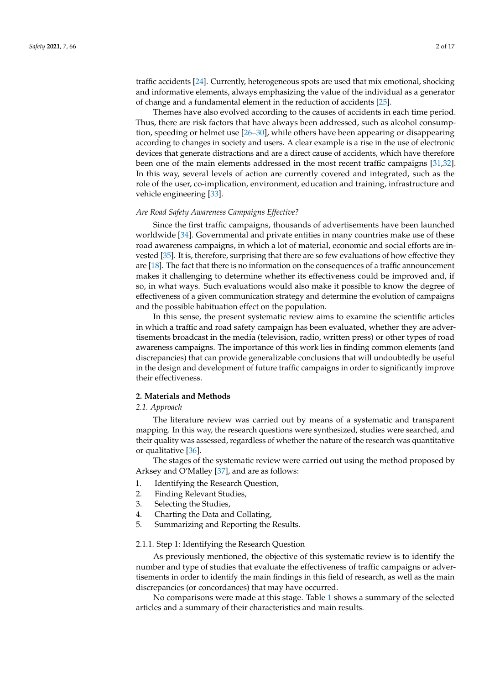traffic accidents [\[24\]](#page-14-8). Currently, heterogeneous spots are used that mix emotional, shocking and informative elements, always emphasizing the value of the individual as a generator of change and a fundamental element in the reduction of accidents [\[25\]](#page-14-9).

Themes have also evolved according to the causes of accidents in each time period. Thus, there are risk factors that have always been addressed, such as alcohol consumption, speeding or helmet use [\[26](#page-14-10)[–30\]](#page-14-11), while others have been appearing or disappearing according to changes in society and users. A clear example is a rise in the use of electronic devices that generate distractions and are a direct cause of accidents, which have therefore been one of the main elements addressed in the most recent traffic campaigns [\[31,](#page-14-12)[32\]](#page-14-13). In this way, several levels of action are currently covered and integrated, such as the role of the user, co-implication, environment, education and training, infrastructure and vehicle engineering [\[33\]](#page-14-14).

#### *Are Road Safety Awareness Campaigns Effective?*

Since the first traffic campaigns, thousands of advertisements have been launched worldwide [\[34\]](#page-14-15). Governmental and private entities in many countries make use of these road awareness campaigns, in which a lot of material, economic and social efforts are invested [\[35\]](#page-14-16). It is, therefore, surprising that there are so few evaluations of how effective they are [\[18\]](#page-14-3). The fact that there is no information on the consequences of a traffic announcement makes it challenging to determine whether its effectiveness could be improved and, if so, in what ways. Such evaluations would also make it possible to know the degree of effectiveness of a given communication strategy and determine the evolution of campaigns and the possible habituation effect on the population.

In this sense, the present systematic review aims to examine the scientific articles in which a traffic and road safety campaign has been evaluated, whether they are advertisements broadcast in the media (television, radio, written press) or other types of road awareness campaigns. The importance of this work lies in finding common elements (and discrepancies) that can provide generalizable conclusions that will undoubtedly be useful in the design and development of future traffic campaigns in order to significantly improve their effectiveness.

#### **2. Materials and Methods**

#### *2.1. Approach*

The literature review was carried out by means of a systematic and transparent mapping. In this way, the research questions were synthesized, studies were searched, and their quality was assessed, regardless of whether the nature of the research was quantitative or qualitative [\[36\]](#page-14-17).

The stages of the systematic review were carried out using the method proposed by Arksey and O'Malley [\[37\]](#page-14-18), and are as follows:

- 1. Identifying the Research Question,
- 2. Finding Relevant Studies,
- 3. Selecting the Studies,
- 4. Charting the Data and Collating,
- 5. Summarizing and Reporting the Results.

#### 2.1.1. Step 1: Identifying the Research Question

As previously mentioned, the objective of this systematic review is to identify the number and type of studies that evaluate the effectiveness of traffic campaigns or advertisements in order to identify the main findings in this field of research, as well as the main discrepancies (or concordances) that may have occurred.

No comparisons were made at this stage. Table [1](#page-8-0) shows a summary of the selected articles and a summary of their characteristics and main results.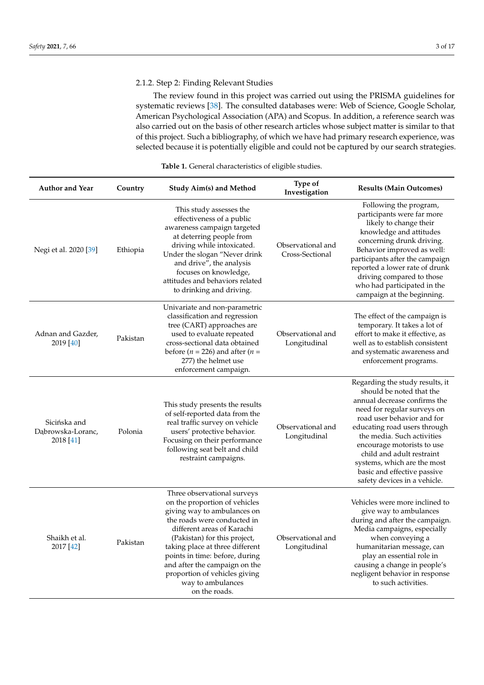# 2.1.2. Step 2: Finding Relevant Studies

The review found in this project was carried out using the PRISMA guidelines for systematic reviews [\[38\]](#page-14-19). The consulted databases were: Web of Science, Google Scholar, American Psychological Association (APA) and Scopus. In addition, a reference search was also carried out on the basis of other research articles whose subject matter is similar to that of this project. Such a bibliography, of which we have had primary research experience, was selected because it is potentially eligible and could not be captured by our search strategies.

| <b>Author and Year</b>                         | Country  | <b>Study Aim(s) and Method</b>                                                                                                                                                                                                                                                                                                                                        | Type of<br>Investigation             | <b>Results (Main Outcomes)</b>                                                                                                                                                                                                                                                                                                                                                  |
|------------------------------------------------|----------|-----------------------------------------------------------------------------------------------------------------------------------------------------------------------------------------------------------------------------------------------------------------------------------------------------------------------------------------------------------------------|--------------------------------------|---------------------------------------------------------------------------------------------------------------------------------------------------------------------------------------------------------------------------------------------------------------------------------------------------------------------------------------------------------------------------------|
| Negi et al. 2020 [39]                          | Ethiopia | This study assesses the<br>effectiveness of a public<br>awareness campaign targeted<br>at deterring people from<br>driving while intoxicated.<br>Under the slogan "Never drink<br>and drive", the analysis<br>focuses on knowledge,<br>attitudes and behaviors related<br>to drinking and driving.                                                                    | Observational and<br>Cross-Sectional | Following the program,<br>participants were far more<br>likely to change their<br>knowledge and attitudes<br>concerning drunk driving.<br>Behavior improved as well:<br>participants after the campaign<br>reported a lower rate of drunk<br>driving compared to those<br>who had participated in the<br>campaign at the beginning.                                             |
| Adnan and Gazder,<br>2019 [40]                 | Pakistan | Univariate and non-parametric<br>classification and regression<br>tree (CART) approaches are<br>used to evaluate repeated<br>cross-sectional data obtained<br>before ( $n = 226$ ) and after ( $n =$<br>277) the helmet use<br>enforcement campaign.                                                                                                                  | Observational and<br>Longitudinal    | The effect of the campaign is<br>temporary. It takes a lot of<br>effort to make it effective, as<br>well as to establish consistent<br>and systematic awareness and<br>enforcement programs.                                                                                                                                                                                    |
| Sicińska and<br>Dąbrowska-Loranc,<br>2018 [41] | Polonia  | This study presents the results<br>of self-reported data from the<br>real traffic survey on vehicle<br>users' protective behavior.<br>Focusing on their performance<br>following seat belt and child<br>restraint campaigns.                                                                                                                                          | Observational and<br>Longitudinal    | Regarding the study results, it<br>should be noted that the<br>annual decrease confirms the<br>need for regular surveys on<br>road user behavior and for<br>educating road users through<br>the media. Such activities<br>encourage motorists to use<br>child and adult restraint<br>systems, which are the most<br>basic and effective passive<br>safety devices in a vehicle. |
| Shaikh et al.<br>2017 [42]                     | Pakistan | Three observational surveys<br>on the proportion of vehicles<br>giving way to ambulances on<br>the roads were conducted in<br>different areas of Karachi<br>(Pakistan) for this project,<br>taking place at three different<br>points in time: before, during<br>and after the campaign on the<br>proportion of vehicles giving<br>way to ambulances<br>on the roads. | Observational and<br>Longitudinal    | Vehicles were more inclined to<br>give way to ambulances<br>during and after the campaign.<br>Media campaigns, especially<br>when conveying a<br>humanitarian message, can<br>play an essential role in<br>causing a change in people's<br>negligent behavior in response<br>to such activities.                                                                                |

#### **Table 1.** General characteristics of eligible studies.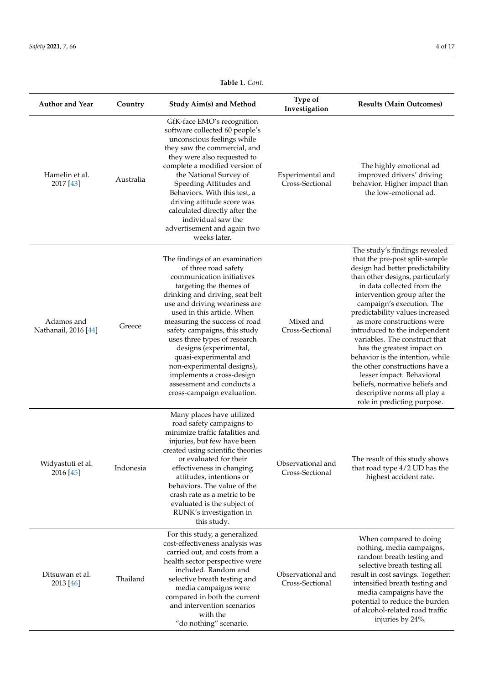| <b>Author and Year</b>             | Country   | <b>Study Aim(s) and Method</b>                                                                                                                                                                                                                                                                                                                                                                                                                                                              | Type of<br>Investigation             | <b>Results (Main Outcomes)</b>                                                                                                                                                                                                                                                                                                                                                                                                                                                                                                                                                                          |
|------------------------------------|-----------|---------------------------------------------------------------------------------------------------------------------------------------------------------------------------------------------------------------------------------------------------------------------------------------------------------------------------------------------------------------------------------------------------------------------------------------------------------------------------------------------|--------------------------------------|---------------------------------------------------------------------------------------------------------------------------------------------------------------------------------------------------------------------------------------------------------------------------------------------------------------------------------------------------------------------------------------------------------------------------------------------------------------------------------------------------------------------------------------------------------------------------------------------------------|
| Hamelin et al.<br>2017 [43]        | Australia | GfK-face EMO's recognition<br>software collected 60 people's<br>unconscious feelings while<br>they saw the commercial, and<br>they were also requested to<br>complete a modified version of<br>the National Survey of<br>Speeding Attitudes and<br>Behaviors. With this test, a<br>driving attitude score was<br>calculated directly after the<br>individual saw the<br>advertisement and again two<br>weeks later.                                                                         | Experimental and<br>Cross-Sectional  | The highly emotional ad<br>improved drivers' driving<br>behavior. Higher impact than<br>the low-emotional ad.                                                                                                                                                                                                                                                                                                                                                                                                                                                                                           |
| Adamos and<br>Nathanail, 2016 [44] | Greece    | The findings of an examination<br>of three road safety<br>communication initiatives<br>targeting the themes of<br>drinking and driving, seat belt<br>use and driving weariness are<br>used in this article. When<br>measuring the success of road<br>safety campaigns, this study<br>uses three types of research<br>designs (experimental,<br>quasi-experimental and<br>non-experimental designs),<br>implements a cross-design<br>assessment and conducts a<br>cross-campaign evaluation. | Mixed and<br>Cross-Sectional         | The study's findings revealed<br>that the pre-post split-sample<br>design had better predictability<br>than other designs, particularly<br>in data collected from the<br>intervention group after the<br>campaign's execution. The<br>predictability values increased<br>as more constructions were<br>introduced to the independent<br>variables. The construct that<br>has the greatest impact on<br>behavior is the intention, while<br>the other constructions have a<br>lesser impact. Behavioral<br>beliefs, normative beliefs and<br>descriptive norms all play a<br>role in predicting purpose. |
| Widyastuti et al.<br>2016 [45]     | Indonesia | Many places have utilized<br>road safety campaigns to<br>minimize traffic fatalities and<br>injuries, but few have been<br>created using scientific theories<br>or evaluated for their<br>effectiveness in changing<br>attitudes, intentions or<br>behaviors. The value of the<br>crash rate as a metric to be<br>evaluated is the subject of<br>RUNK's investigation in<br>this study.                                                                                                     | Observational and<br>Cross-Sectional | The result of this study shows<br>that road type 4/2 UD has the<br>highest accident rate.                                                                                                                                                                                                                                                                                                                                                                                                                                                                                                               |
| Ditsuwan et al.<br>2013 [46]       | Thailand  | For this study, a generalized<br>cost-effectiveness analysis was<br>carried out, and costs from a<br>health sector perspective were<br>included. Random and<br>selective breath testing and<br>media campaigns were<br>compared in both the current<br>and intervention scenarios<br>with the<br>"do nothing" scenario.                                                                                                                                                                     | Observational and<br>Cross-Sectional | When compared to doing<br>nothing, media campaigns,<br>random breath testing and<br>selective breath testing all<br>result in cost savings. Together:<br>intensified breath testing and<br>media campaigns have the<br>potential to reduce the burden<br>of alcohol-related road traffic<br>injuries by 24%.                                                                                                                                                                                                                                                                                            |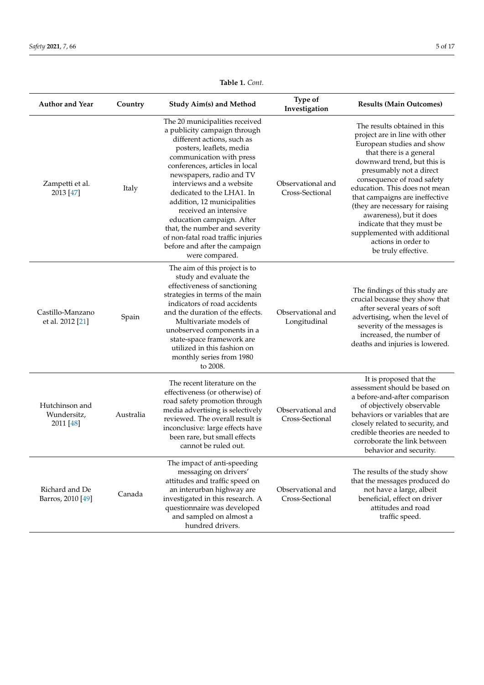| <b>Author and Year</b>                     | Country   | <b>Study Aim(s) and Method</b>                                                                                                                                                                                                                                                                                                                                                                                                                                                             | Type of<br>Investigation             | <b>Results (Main Outcomes)</b>                                                                                                                                                                                                                                                                                                                                                                                                                              |
|--------------------------------------------|-----------|--------------------------------------------------------------------------------------------------------------------------------------------------------------------------------------------------------------------------------------------------------------------------------------------------------------------------------------------------------------------------------------------------------------------------------------------------------------------------------------------|--------------------------------------|-------------------------------------------------------------------------------------------------------------------------------------------------------------------------------------------------------------------------------------------------------------------------------------------------------------------------------------------------------------------------------------------------------------------------------------------------------------|
| Zampetti et al.<br>2013 [47]               | Italy     | The 20 municipalities received<br>a publicity campaign through<br>different actions, such as<br>posters, leaflets, media<br>communication with press<br>conferences, articles in local<br>newspapers, radio and TV<br>interviews and a website<br>dedicated to the LHA1. In<br>addition, 12 municipalities<br>received an intensive<br>education campaign. After<br>that, the number and severity<br>of non-fatal road traffic injuries<br>before and after the campaign<br>were compared. | Observational and<br>Cross-Sectional | The results obtained in this<br>project are in line with other<br>European studies and show<br>that there is a general<br>downward trend, but this is<br>presumably not a direct<br>consequence of road safety<br>education. This does not mean<br>that campaigns are ineffective<br>(they are necessary for raising<br>awareness), but it does<br>indicate that they must be<br>supplemented with additional<br>actions in order to<br>be truly effective. |
| Castillo-Manzano<br>et al. 2012 [21]       | Spain     | The aim of this project is to<br>study and evaluate the<br>effectiveness of sanctioning<br>strategies in terms of the main<br>indicators of road accidents<br>and the duration of the effects.<br>Multivariate models of<br>unobserved components in a<br>state-space framework are<br>utilized in this fashion on<br>monthly series from 1980<br>to 2008.                                                                                                                                 | Observational and<br>Longitudinal    | The findings of this study are<br>crucial because they show that<br>after several years of soft<br>advertising, when the level of<br>severity of the messages is<br>increased, the number of<br>deaths and injuries is lowered.                                                                                                                                                                                                                             |
| Hutchinson and<br>Wundersitz,<br>2011 [48] | Australia | The recent literature on the<br>effectiveness (or otherwise) of<br>road safety promotion through<br>media advertising is selectively<br>reviewed. The overall result is<br>inconclusive: large effects have<br>been rare, but small effects<br>cannot be ruled out.                                                                                                                                                                                                                        | Observational and<br>Cross-Sectional | It is proposed that the<br>assessment should be based on<br>a before-and-after comparison<br>of objectively observable<br>behaviors or variables that are<br>closely related to security, and<br>credible theories are needed to<br>corroborate the link between<br>behavior and security.                                                                                                                                                                  |
| Richard and De<br>Barros, 2010 [49]        | Canada    | The impact of anti-speeding<br>messaging on drivers'<br>attitudes and traffic speed on<br>an interurban highway are<br>investigated in this research. A<br>questionnaire was developed<br>and sampled on almost a<br>hundred drivers.                                                                                                                                                                                                                                                      | Observational and<br>Cross-Sectional | The results of the study show<br>that the messages produced do<br>not have a large, albeit<br>beneficial, effect on driver<br>attitudes and road<br>traffic speed.                                                                                                                                                                                                                                                                                          |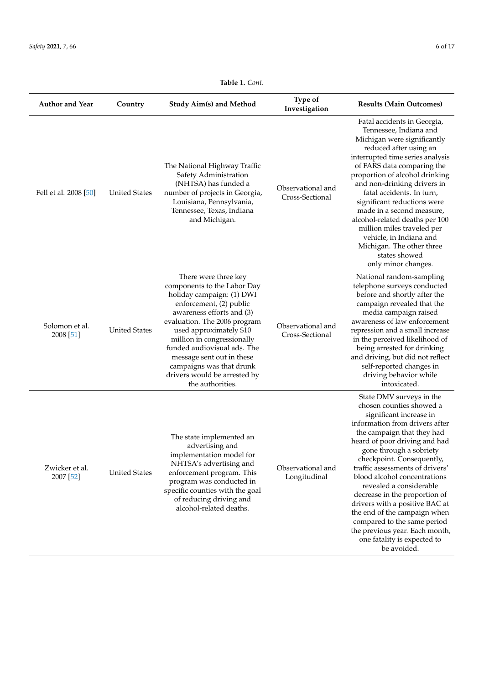| <b>Author and Year</b>      | Country              | <b>Study Aim(s) and Method</b>                                                                                                                                                                                                                                                                                                                                                | Type of<br>Investigation             | <b>Results (Main Outcomes)</b>                                                                                                                                                                                                                                                                                                                                                                                                                                                                                                                           |
|-----------------------------|----------------------|-------------------------------------------------------------------------------------------------------------------------------------------------------------------------------------------------------------------------------------------------------------------------------------------------------------------------------------------------------------------------------|--------------------------------------|----------------------------------------------------------------------------------------------------------------------------------------------------------------------------------------------------------------------------------------------------------------------------------------------------------------------------------------------------------------------------------------------------------------------------------------------------------------------------------------------------------------------------------------------------------|
| Fell et al. 2008 [50]       | <b>United States</b> | The National Highway Traffic<br>Safety Administration<br>(NHTSA) has funded a<br>number of projects in Georgia,<br>Louisiana, Pennsylvania,<br>Tennessee, Texas, Indiana<br>and Michigan.                                                                                                                                                                                     | Observational and<br>Cross-Sectional | Fatal accidents in Georgia,<br>Tennessee, Indiana and<br>Michigan were significantly<br>reduced after using an<br>interrupted time series analysis<br>of FARS data comparing the<br>proportion of alcohol drinking<br>and non-drinking drivers in<br>fatal accidents. In turn,<br>significant reductions were<br>made in a second measure,<br>alcohol-related deaths per 100<br>million miles traveled per<br>vehicle, in Indiana and<br>Michigan. The other three<br>states showed<br>only minor changes.                                               |
| Solomon et al.<br>2008 [51] | <b>United States</b> | There were three key<br>components to the Labor Day<br>holiday campaign: (1) DWI<br>enforcement, (2) public<br>awareness efforts and (3)<br>evaluation. The 2006 program<br>used approximately \$10<br>million in congressionally<br>funded audiovisual ads. The<br>message sent out in these<br>campaigns was that drunk<br>drivers would be arrested by<br>the authorities. | Observational and<br>Cross-Sectional | National random-sampling<br>telephone surveys conducted<br>before and shortly after the<br>campaign revealed that the<br>media campaign raised<br>awareness of law enforcement<br>repression and a small increase<br>in the perceived likelihood of<br>being arrested for drinking<br>and driving, but did not reflect<br>self-reported changes in<br>driving behavior while<br>intoxicated.                                                                                                                                                             |
| Zwicker et al.<br>2007 [52] | <b>United States</b> | The state implemented an<br>advertising and<br>implementation model for<br>NHTSA's advertising and<br>enforcement program. This<br>program was conducted in<br>specific counties with the goal<br>of reducing driving and<br>alcohol-related deaths.                                                                                                                          | Observational and<br>Longitudinal    | State DMV surveys in the<br>chosen counties showed a<br>significant increase in<br>information from drivers after<br>the campaign that they had<br>heard of poor driving and had<br>gone through a sobriety<br>checkpoint. Consequently,<br>traffic assessments of drivers'<br>blood alcohol concentrations<br>revealed a considerable<br>decrease in the proportion of<br>drivers with a positive BAC at<br>the end of the campaign when<br>compared to the same period<br>the previous year. Each month,<br>one fatality is expected to<br>be avoided. |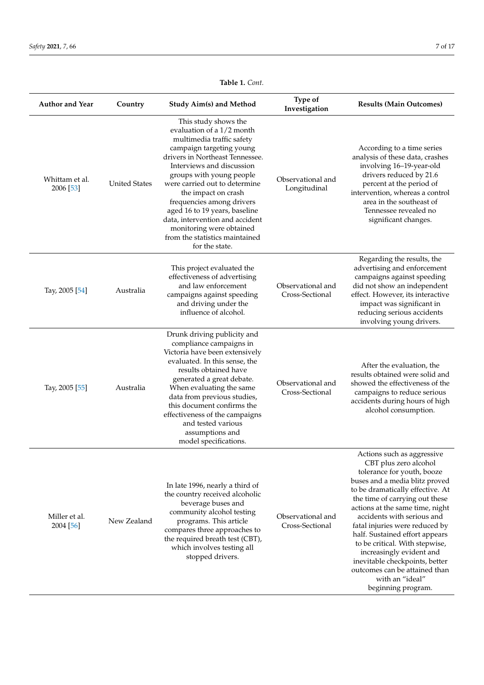| <b>Author and Year</b>      | Country              | <b>Study Aim(s) and Method</b>                                                                                                                                                                                                                                                                                                                                                                                                                  | Type of<br>Investigation             | <b>Results (Main Outcomes)</b>                                                                                                                                                                                                                                                                                                                                                                                                                                                                           |
|-----------------------------|----------------------|-------------------------------------------------------------------------------------------------------------------------------------------------------------------------------------------------------------------------------------------------------------------------------------------------------------------------------------------------------------------------------------------------------------------------------------------------|--------------------------------------|----------------------------------------------------------------------------------------------------------------------------------------------------------------------------------------------------------------------------------------------------------------------------------------------------------------------------------------------------------------------------------------------------------------------------------------------------------------------------------------------------------|
| Whittam et al.<br>2006 [53] | <b>United States</b> | This study shows the<br>evaluation of a 1/2 month<br>multimedia traffic safety<br>campaign targeting young<br>drivers in Northeast Tennessee.<br>Interviews and discussion<br>groups with young people<br>were carried out to determine<br>the impact on crash<br>frequencies among drivers<br>aged 16 to 19 years, baseline<br>data, intervention and accident<br>monitoring were obtained<br>from the statistics maintained<br>for the state. | Observational and<br>Longitudinal    | According to a time series<br>analysis of these data, crashes<br>involving 16-19-year-old<br>drivers reduced by 21.6<br>percent at the period of<br>intervention, whereas a control<br>area in the southeast of<br>Tennessee revealed no<br>significant changes.                                                                                                                                                                                                                                         |
| Tay, 2005 [54]              | Australia            | This project evaluated the<br>effectiveness of advertising<br>and law enforcement<br>campaigns against speeding<br>and driving under the<br>influence of alcohol.                                                                                                                                                                                                                                                                               | Observational and<br>Cross-Sectional | Regarding the results, the<br>advertising and enforcement<br>campaigns against speeding<br>did not show an independent<br>effect. However, its interactive<br>impact was significant in<br>reducing serious accidents<br>involving young drivers.                                                                                                                                                                                                                                                        |
| Tay, 2005 [55]              | Australia            | Drunk driving publicity and<br>compliance campaigns in<br>Victoria have been extensively<br>evaluated. In this sense, the<br>results obtained have<br>generated a great debate.<br>When evaluating the same<br>data from previous studies,<br>this document confirms the<br>effectiveness of the campaigns<br>and tested various<br>assumptions and<br>model specifications.                                                                    | Observational and<br>Cross-Sectional | After the evaluation, the<br>results obtained were solid and<br>showed the effectiveness of the<br>campaigns to reduce serious<br>accidents during hours of high<br>alcohol consumption.                                                                                                                                                                                                                                                                                                                 |
| Miller et al.<br>2004 [56]  | New Zealand          | In late 1996, nearly a third of<br>the country received alcoholic<br>beverage buses and<br>community alcohol testing<br>programs. This article<br>compares three approaches to<br>the required breath test (CBT),<br>which involves testing all<br>stopped drivers.                                                                                                                                                                             | Observational and<br>Cross-Sectional | Actions such as aggressive<br>CBT plus zero alcohol<br>tolerance for youth, booze<br>buses and a media blitz proved<br>to be dramatically effective. At<br>the time of carrying out these<br>actions at the same time, night<br>accidents with serious and<br>fatal injuries were reduced by<br>half. Sustained effort appears<br>to be critical. With stepwise,<br>increasingly evident and<br>inevitable checkpoints, better<br>outcomes can be attained than<br>with an "ideal"<br>beginning program. |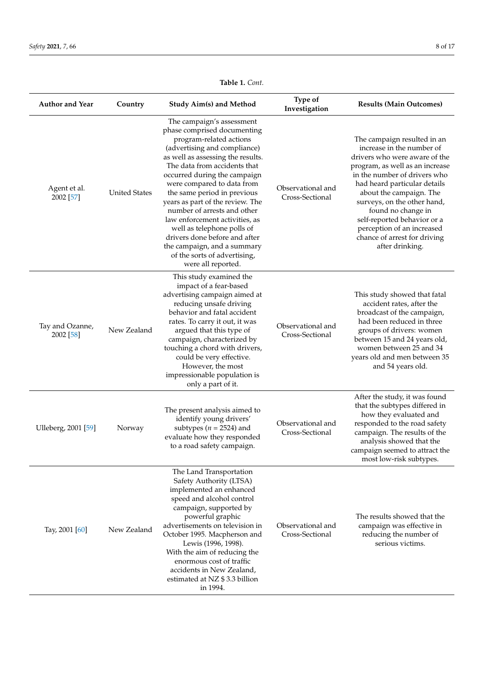| <b>Author and Year</b>         | Country              | <b>Study Aim(s) and Method</b>                                                                                                                                                                                                                                                                                                                                                                                                                                                                                                                 | Type of<br>Investigation             | <b>Results (Main Outcomes)</b>                                                                                                                                                                                                                                                                                                                                                               |
|--------------------------------|----------------------|------------------------------------------------------------------------------------------------------------------------------------------------------------------------------------------------------------------------------------------------------------------------------------------------------------------------------------------------------------------------------------------------------------------------------------------------------------------------------------------------------------------------------------------------|--------------------------------------|----------------------------------------------------------------------------------------------------------------------------------------------------------------------------------------------------------------------------------------------------------------------------------------------------------------------------------------------------------------------------------------------|
| Agent et al.<br>2002 [57]      | <b>United States</b> | The campaign's assessment<br>phase comprised documenting<br>program-related actions<br>(advertising and compliance)<br>as well as assessing the results.<br>The data from accidents that<br>occurred during the campaign<br>were compared to data from<br>the same period in previous<br>years as part of the review. The<br>number of arrests and other<br>law enforcement activities, as<br>well as telephone polls of<br>drivers done before and after<br>the campaign, and a summary<br>of the sorts of advertising,<br>were all reported. | Observational and<br>Cross-Sectional | The campaign resulted in an<br>increase in the number of<br>drivers who were aware of the<br>program, as well as an increase<br>in the number of drivers who<br>had heard particular details<br>about the campaign. The<br>surveys, on the other hand,<br>found no change in<br>self-reported behavior or a<br>perception of an increased<br>chance of arrest for driving<br>after drinking. |
| Tay and Ozanne,<br>2002 [58]   | New Zealand          | This study examined the<br>impact of a fear-based<br>advertising campaign aimed at<br>reducing unsafe driving<br>behavior and fatal accident<br>rates. To carry it out, it was<br>argued that this type of<br>campaign, characterized by<br>touching a chord with drivers,<br>could be very effective.<br>However, the most<br>impressionable population is<br>only a part of it.                                                                                                                                                              | Observational and<br>Cross-Sectional | This study showed that fatal<br>accident rates, after the<br>broadcast of the campaign,<br>had been reduced in three<br>groups of drivers: women<br>between 15 and 24 years old,<br>women between 25 and 34<br>years old and men between 35<br>and 54 years old.                                                                                                                             |
| Ulleberg, 2001 <sup>[59]</sup> | Norway               | The present analysis aimed to<br>identify young drivers'<br>subtypes ( $n = 2524$ ) and<br>evaluate how they responded<br>to a road safety campaign.                                                                                                                                                                                                                                                                                                                                                                                           | Observational and<br>Cross-Sectional | After the study, it was found<br>that the subtypes differed in<br>how they evaluated and<br>responded to the road safety<br>campaign. The results of the<br>analysis showed that the<br>campaign seemed to attract the<br>most low-risk subtypes.                                                                                                                                            |
| Tay, 2001 [60]                 | New Zealand          | The Land Transportation<br>Safety Authority (LTSA)<br>implemented an enhanced<br>speed and alcohol control<br>campaign, supported by<br>powerful graphic<br>advertisements on television in<br>October 1995. Macpherson and<br>Lewis (1996, 1998).<br>With the aim of reducing the<br>enormous cost of traffic<br>accidents in New Zealand,<br>estimated at NZ \$3.3 billion<br>in 1994.                                                                                                                                                       | Observational and<br>Cross-Sectional | The results showed that the<br>campaign was effective in<br>reducing the number of<br>serious victims.                                                                                                                                                                                                                                                                                       |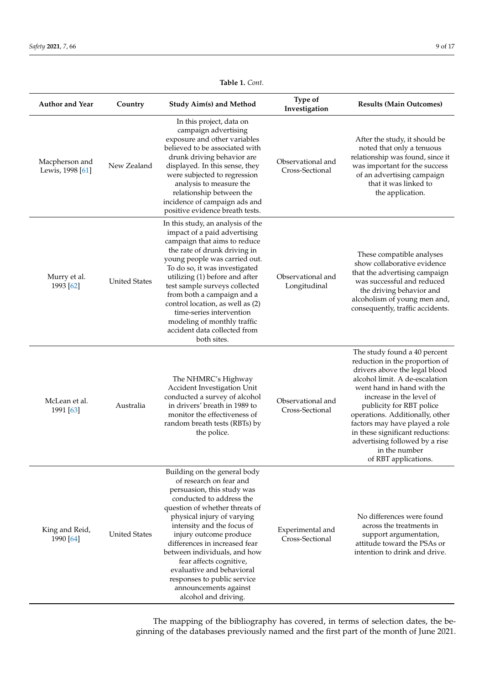<span id="page-8-0"></span>

| <b>Author and Year</b>             | Country              | Study Aim(s) and Method                                                                                                                                                                                                                                                                                                                                                                                                                            | Type of<br>Investigation             | <b>Results (Main Outcomes)</b>                                                                                                                                                                                                                                                                                                                                                                              |
|------------------------------------|----------------------|----------------------------------------------------------------------------------------------------------------------------------------------------------------------------------------------------------------------------------------------------------------------------------------------------------------------------------------------------------------------------------------------------------------------------------------------------|--------------------------------------|-------------------------------------------------------------------------------------------------------------------------------------------------------------------------------------------------------------------------------------------------------------------------------------------------------------------------------------------------------------------------------------------------------------|
| Macpherson and<br>Lewis, 1998 [61] | New Zealand          | In this project, data on<br>campaign advertising<br>exposure and other variables<br>believed to be associated with<br>drunk driving behavior are<br>displayed. In this sense, they<br>were subjected to regression<br>analysis to measure the<br>relationship between the<br>incidence of campaign ads and<br>positive evidence breath tests.                                                                                                      | Observational and<br>Cross-Sectional | After the study, it should be<br>noted that only a tenuous<br>relationship was found, since it<br>was important for the success<br>of an advertising campaign<br>that it was linked to<br>the application.                                                                                                                                                                                                  |
| Murry et al.<br>1993 [62]          | <b>United States</b> | In this study, an analysis of the<br>impact of a paid advertising<br>campaign that aims to reduce<br>the rate of drunk driving in<br>young people was carried out.<br>To do so, it was investigated<br>utilizing (1) before and after<br>test sample surveys collected<br>from both a campaign and a<br>control location, as well as (2)<br>time-series intervention<br>modeling of monthly traffic<br>accident data collected from<br>both sites. | Observational and<br>Longitudinal    | These compatible analyses<br>show collaborative evidence<br>that the advertising campaign<br>was successful and reduced<br>the driving behavior and<br>alcoholism of young men and,<br>consequently, traffic accidents.                                                                                                                                                                                     |
| McLean et al.<br>1991 [63]         | Australia            | The NHMRC's Highway<br>Accident Investigation Unit<br>conducted a survey of alcohol<br>in drivers' breath in 1989 to<br>monitor the effectiveness of<br>random breath tests (RBTs) by<br>the police.                                                                                                                                                                                                                                               | Observational and<br>Cross-Sectional | The study found a 40 percent<br>reduction in the proportion of<br>drivers above the legal blood<br>alcohol limit. A de-escalation<br>went hand in hand with the<br>increase in the level of<br>publicity for RBT police<br>operations. Additionally, other<br>factors may have played a role<br>in these significant reductions:<br>advertising followed by a rise<br>in the number<br>of RBT applications. |
| King and Reid,<br>1990 [64]        | <b>United States</b> | Building on the general body<br>of research on fear and<br>persuasion, this study was<br>conducted to address the<br>question of whether threats of<br>physical injury of varying<br>intensity and the focus of<br>injury outcome produce<br>differences in increased fear<br>between individuals, and how<br>fear affects cognitive,<br>evaluative and behavioral<br>responses to public service<br>announcements against<br>alcohol and driving. | Experimental and<br>Cross-Sectional  | No differences were found<br>across the treatments in<br>support argumentation,<br>attitude toward the PSAs or<br>intention to drink and drive.                                                                                                                                                                                                                                                             |

The mapping of the bibliography has covered, in terms of selection dates, the beginning of the databases previously named and the first part of the month of June 2021.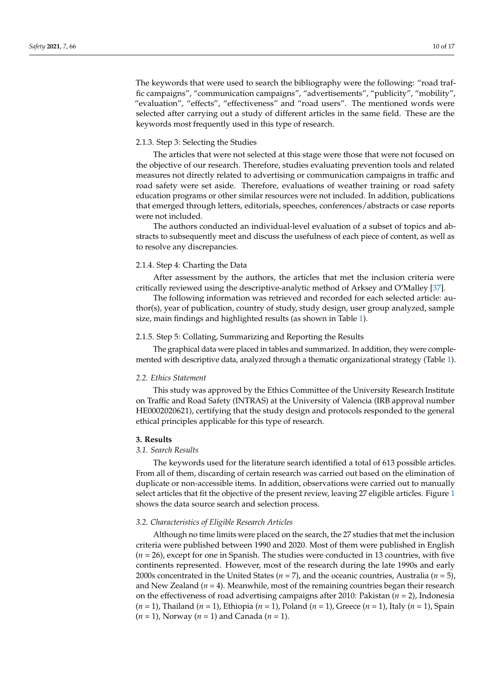The keywords that were used to search the bibliography were the following: "road traffic campaigns", "communication campaigns", "advertisements", "publicity", "mobility", "evaluation", "effects", "effectiveness" and "road users". The mentioned words were selected after carrying out a study of different articles in the same field. These are the keywords most frequently used in this type of research.

### 2.1.3. Step 3: Selecting the Studies

The articles that were not selected at this stage were those that were not focused on the objective of our research. Therefore, studies evaluating prevention tools and related measures not directly related to advertising or communication campaigns in traffic and road safety were set aside. Therefore, evaluations of weather training or road safety education programs or other similar resources were not included. In addition, publications that emerged through letters, editorials, speeches, conferences/abstracts or case reports were not included.

The authors conducted an individual-level evaluation of a subset of topics and abstracts to subsequently meet and discuss the usefulness of each piece of content, as well as to resolve any discrepancies.

#### 2.1.4. Step 4: Charting the Data

After assessment by the authors, the articles that met the inclusion criteria were critically reviewed using the descriptive-analytic method of Arksey and O'Malley [\[37\]](#page-14-18).

The following information was retrieved and recorded for each selected article: author(s), year of publication, country of study, study design, user group analyzed, sample size, main findings and highlighted results (as shown in Table [1\)](#page-8-0).

#### 2.1.5. Step 5: Collating, Summarizing and Reporting the Results

The graphical data were placed in tables and summarized. In addition, they were complemented with descriptive data, analyzed through a thematic organizational strategy (Table [1\)](#page-8-0).

#### *2.2. Ethics Statement*

This study was approved by the Ethics Committee of the University Research Institute on Traffic and Road Safety (INTRAS) at the University of Valencia (IRB approval number HE0002020621), certifying that the study design and protocols responded to the general ethical principles applicable for this type of research.

#### **3. Results**

#### *3.1. Search Results*

The keywords used for the literature search identified a total of 613 possible articles. From all of them, discarding of certain research was carried out based on the elimination of duplicate or non-accessible items. In addition, observations were carried out to manually select articles that fit the objective of the present review, leaving 27 eligible articles. Figure [1](#page-10-0) shows the data source search and selection process.

#### *3.2. Characteristics of Eligible Research Articles*

Although no time limits were placed on the search, the 27 studies that met the inclusion criteria were published between 1990 and 2020. Most of them were published in English (*n* = 26), except for one in Spanish. The studies were conducted in 13 countries, with five continents represented. However, most of the research during the late 1990s and early 2000s concentrated in the United States (*n* = 7), and the oceanic countries, Australia (*n* = 5), and New Zealand  $(n = 4)$ . Meanwhile, most of the remaining countries began their research on the effectiveness of road advertising campaigns after 2010: Pakistan (*n* = 2), Indonesia (*n* = 1), Thailand (*n* = 1), Ethiopia (*n* = 1), Poland (*n* = 1), Greece (*n* = 1), Italy (*n* = 1), Spain (*n* = 1), Norway (*n* = 1) and Canada (*n* = 1).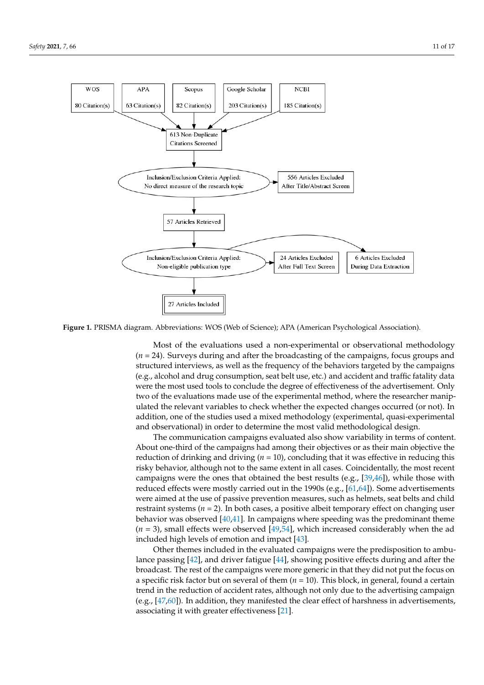<span id="page-10-0"></span>

**Figure 1.** PRISMA diagram. Abbreviations: WOS (Web of Science); APA (American Psychological Association). **Figure 1.** PRISMA diagram. Abbreviations: WOS (Web of Science); APA (American Psychological Association).

Most of the evaluations used a non-experimental or observational methodology (*n* = 24). Surveys during and after the broadcasting of the campaigns, focus groups and structured interviews, as well as the frequency of the behaviors targeted by the campaigns (e.g., alcohol and drug consumption, seat belt use, etc.) and accident and traffic fatality data were the most used tools to conclude the degree of effectiveness of the advertisement. Only Figure 3.000 states (*n* and the United States of the United States and Trendon, Where the researcher manipulated the relevant variables to check whether the expected changes occurred (or not). In 5), and New Zealand (*n* = 4). Meanwhile, most of the remaining countries began their addition, one of the studies used a mixed methodology (experimental, quasi-experimental)<br>and classrootional) is endeated a hiteraries the spectral developed also ised devices two of the evaluations made use of the experimental method, where the researcher manipand observational) in order to determine the most valid methodological design.

ally select articles that fit the objective of the present review, leaving 27 eligible articles.

The communication campaigns evaluated also show variability in terms of content. About one-third of the campaigns had among their objectives or as their main objective the reduction of drinking and driving (*n* = 10), concluding that it was effective in reducing this risky behavior, although not to the same extent in all cases. Coincidentally, the most recent campaigns were the ones that obtained the best results (e.g., [\[39,](#page-14-20)[46\]](#page-15-4)), while those with reduced effects were mostly carried out in the 1990s (e.g., [\[61,](#page-15-19)[64\]](#page-15-22)). Some advertisements were aimed at the use of passive prevention measures, such as helmets, seat belts and child restraint systems  $(n = 2)$ . In both cases, a positive albeit temporary effect on changing user behavior was observed [\[40](#page-14-21)[,41\]](#page-14-22). In campaigns where speeding was the predominant theme  $(n = 3)$ , small effects were observed [\[49](#page-15-7)[,54\]](#page-15-12), which increased considerably when the ad included high levels of emotion and impact [\[43\]](#page-15-1).

Other themes included in the evaluated campaigns were the predisposition to ambulance passing [\[42\]](#page-15-0), and driver fatigue [\[44\]](#page-15-2), showing positive effects during and after the broadcast. The rest of the campaigns were more generic in that they did not put the focus on a specific risk factor but on several of them (*n* = 10). This block, in general, found a certain trend in the reduction of accident rates, although not only due to the advertising campaign (e.g.,  $[47,60]$  $[47,60]$ ). In addition, they manifested the clear effect of harshness in advertisements, associating it with greater effectiveness [\[21\]](#page-14-5).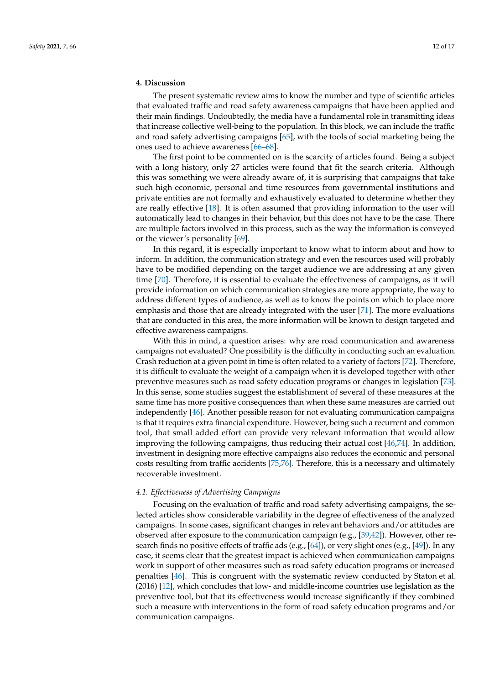## **4. Discussion**

The present systematic review aims to know the number and type of scientific articles that evaluated traffic and road safety awareness campaigns that have been applied and their main findings. Undoubtedly, the media have a fundamental role in transmitting ideas that increase collective well-being to the population. In this block, we can include the traffic and road safety advertising campaigns [\[65\]](#page-15-23), with the tools of social marketing being the ones used to achieve awareness [\[66](#page-15-24)[–68\]](#page-15-25).

The first point to be commented on is the scarcity of articles found. Being a subject with a long history, only 27 articles were found that fit the search criteria. Although this was something we were already aware of, it is surprising that campaigns that take such high economic, personal and time resources from governmental institutions and private entities are not formally and exhaustively evaluated to determine whether they are really effective [\[18\]](#page-14-3). It is often assumed that providing information to the user will automatically lead to changes in their behavior, but this does not have to be the case. There are multiple factors involved in this process, such as the way the information is conveyed or the viewer's personality [\[69\]](#page-16-0).

In this regard, it is especially important to know what to inform about and how to inform. In addition, the communication strategy and even the resources used will probably have to be modified depending on the target audience we are addressing at any given time [\[70\]](#page-16-1). Therefore, it is essential to evaluate the effectiveness of campaigns, as it will provide information on which communication strategies are more appropriate, the way to address different types of audience, as well as to know the points on which to place more emphasis and those that are already integrated with the user [\[71\]](#page-16-2). The more evaluations that are conducted in this area, the more information will be known to design targeted and effective awareness campaigns.

With this in mind, a question arises: why are road communication and awareness campaigns not evaluated? One possibility is the difficulty in conducting such an evaluation. Crash reduction at a given point in time is often related to a variety of factors [\[72\]](#page-16-3). Therefore, it is difficult to evaluate the weight of a campaign when it is developed together with other preventive measures such as road safety education programs or changes in legislation [\[73\]](#page-16-4). In this sense, some studies suggest the establishment of several of these measures at the same time has more positive consequences than when these same measures are carried out independently [\[46\]](#page-15-4). Another possible reason for not evaluating communication campaigns is that it requires extra financial expenditure. However, being such a recurrent and common tool, that small added effort can provide very relevant information that would allow improving the following campaigns, thus reducing their actual cost [\[46,](#page-15-4)[74\]](#page-16-5). In addition, investment in designing more effective campaigns also reduces the economic and personal costs resulting from traffic accidents [\[75](#page-16-6)[,76\]](#page-16-7). Therefore, this is a necessary and ultimately recoverable investment.

#### *4.1. Effectiveness of Advertising Campaigns*

Focusing on the evaluation of traffic and road safety advertising campaigns, the selected articles show considerable variability in the degree of effectiveness of the analyzed campaigns. In some cases, significant changes in relevant behaviors and/or attitudes are observed after exposure to the communication campaign (e.g., [\[39](#page-14-20)[,42\]](#page-15-0)). However, other research finds no positive effects of traffic ads (e.g., [\[64\]](#page-15-22)), or very slight ones (e.g., [\[49\]](#page-15-7)). In any case, it seems clear that the greatest impact is achieved when communication campaigns work in support of other measures such as road safety education programs or increased penalties [\[46\]](#page-15-4). This is congruent with the systematic review conducted by Staton et al. (2016) [\[12\]](#page-13-8), which concludes that low- and middle-income countries use legislation as the preventive tool, but that its effectiveness would increase significantly if they combined such a measure with interventions in the form of road safety education programs and/or communication campaigns.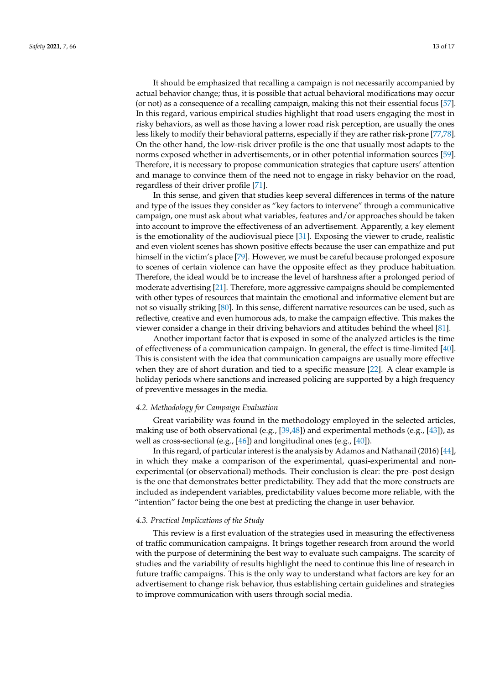It should be emphasized that recalling a campaign is not necessarily accompanied by actual behavior change; thus, it is possible that actual behavioral modifications may occur (or not) as a consequence of a recalling campaign, making this not their essential focus [\[57\]](#page-15-15). In this regard, various empirical studies highlight that road users engaging the most in risky behaviors, as well as those having a lower road risk perception, are usually the ones less likely to modify their behavioral patterns, especially if they are rather risk-prone [\[77](#page-16-8)[,78\]](#page-16-9). On the other hand, the low-risk driver profile is the one that usually most adapts to the norms exposed whether in advertisements, or in other potential information sources [\[59\]](#page-15-17). Therefore, it is necessary to propose communication strategies that capture users' attention and manage to convince them of the need not to engage in risky behavior on the road, regardless of their driver profile [\[71\]](#page-16-2).

In this sense, and given that studies keep several differences in terms of the nature and type of the issues they consider as "key factors to intervene" through a communicative campaign, one must ask about what variables, features and/or approaches should be taken into account to improve the effectiveness of an advertisement. Apparently, a key element is the emotionality of the audiovisual piece [\[31\]](#page-14-12). Exposing the viewer to crude, realistic and even violent scenes has shown positive effects because the user can empathize and put himself in the victim's place [\[79\]](#page-16-10). However, we must be careful because prolonged exposure to scenes of certain violence can have the opposite effect as they produce habituation. Therefore, the ideal would be to increase the level of harshness after a prolonged period of moderate advertising [\[21\]](#page-14-5). Therefore, more aggressive campaigns should be complemented with other types of resources that maintain the emotional and informative element but are not so visually striking [\[80\]](#page-16-11). In this sense, different narrative resources can be used, such as reflective, creative and even humorous ads, to make the campaign effective. This makes the viewer consider a change in their driving behaviors and attitudes behind the wheel [\[81\]](#page-16-12).

Another important factor that is exposed in some of the analyzed articles is the time of effectiveness of a communication campaign. In general, the effect is time-limited [\[40\]](#page-14-21). This is consistent with the idea that communication campaigns are usually more effective when they are of short duration and tied to a specific measure [\[22\]](#page-14-6). A clear example is holiday periods where sanctions and increased policing are supported by a high frequency of preventive messages in the media.

#### *4.2. Methodology for Campaign Evaluation*

Great variability was found in the methodology employed in the selected articles, making use of both observational (e.g.,  $[39,48]$  $[39,48]$ ) and experimental methods (e.g.,  $[43]$ ), as well as cross-sectional (e.g., [\[46\]](#page-15-4)) and longitudinal ones (e.g., [\[40\]](#page-14-21)).

In this regard, of particular interest is the analysis by Adamos and Nathanail (2016) [\[44\]](#page-15-2), in which they make a comparison of the experimental, quasi-experimental and nonexperimental (or observational) methods. Their conclusion is clear: the pre–post design is the one that demonstrates better predictability. They add that the more constructs are included as independent variables, predictability values become more reliable, with the "intention" factor being the one best at predicting the change in user behavior.

#### *4.3. Practical Implications of the Study*

This review is a first evaluation of the strategies used in measuring the effectiveness of traffic communication campaigns. It brings together research from around the world with the purpose of determining the best way to evaluate such campaigns. The scarcity of studies and the variability of results highlight the need to continue this line of research in future traffic campaigns. This is the only way to understand what factors are key for an advertisement to change risk behavior, thus establishing certain guidelines and strategies to improve communication with users through social media.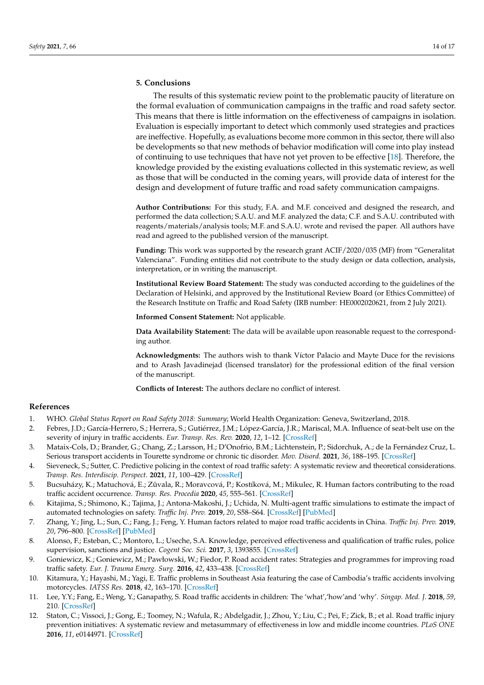# **5. Conclusions**

The results of this systematic review point to the problematic paucity of literature on the formal evaluation of communication campaigns in the traffic and road safety sector. This means that there is little information on the effectiveness of campaigns in isolation. Evaluation is especially important to detect which commonly used strategies and practices are ineffective. Hopefully, as evaluations become more common in this sector, there will also be developments so that new methods of behavior modification will come into play instead of continuing to use techniques that have not yet proven to be effective [\[18\]](#page-14-3). Therefore, the knowledge provided by the existing evaluations collected in this systematic review, as well as those that will be conducted in the coming years, will provide data of interest for the design and development of future traffic and road safety communication campaigns.

**Author Contributions:** For this study, F.A. and M.F. conceived and designed the research, and performed the data collection; S.A.U. and M.F. analyzed the data; C.F. and S.A.U. contributed with reagents/materials/analysis tools; M.F. and S.A.U. wrote and revised the paper. All authors have read and agreed to the published version of the manuscript.

**Funding:** This work was supported by the research grant ACIF/2020/035 (MF) from "Generalitat Valenciana". Funding entities did not contribute to the study design or data collection, analysis, interpretation, or in writing the manuscript.

**Institutional Review Board Statement:** The study was conducted according to the guidelines of the Declaration of Helsinki, and approved by the Institutional Review Board (or Ethics Committee) of the Research Institute on Traffic and Road Safety (IRB number: HE0002020621, from 2 July 2021).

**Informed Consent Statement:** Not applicable.

**Data Availability Statement:** The data will be available upon reasonable request to the corresponding author.

**Acknowledgments:** The authors wish to thank Víctor Palacio and Mayte Duce for the revisions and to Arash Javadinejad (licensed translator) for the professional edition of the final version of the manuscript.

**Conflicts of Interest:** The authors declare no conflict of interest.

### **References**

- <span id="page-13-0"></span>1. WHO. *Global Status Report on Road Safety 2018: Summary*; World Health Organization: Geneva, Switzerland, 2018.
- 2. Febres, J.D.; García-Herrero, S.; Herrera, S.; Gutiérrez, J.M.; López-García, J.R.; Mariscal, M.A. Influence of seat-belt use on the severity of injury in traffic accidents. *Eur. Transp. Res. Rev.* **2020**, *12*, 1–12. [\[CrossRef\]](http://doi.org/10.1186/s12544-020-0401-5)
- 3. Mataix-Cols, D.; Brander, G.; Chang, Z.; Larsson, H.; D'Onofrio, B.M.; Lichtenstein, P.; Sidorchuk, A.; de la Fernández Cruz, L. Serious transport accidents in Tourette syndrome or chronic tic disorder. *Mov. Disord.* **2021**, *36*, 188–195. [\[CrossRef\]](http://doi.org/10.1002/mds.28301)
- <span id="page-13-1"></span>4. Sieveneck, S.; Sutter, C. Predictive policing in the context of road traffic safety: A systematic review and theoretical considerations. *Transp. Res. Interdiscip. Perspect.* **2021**, *11*, 100–429. [\[CrossRef\]](http://doi.org/10.1016/j.trip.2021.100429)
- <span id="page-13-2"></span>5. Bucsuházy, K.; Matuchová, E.; Zůvala, R.; Moravcová, P.; Kostíková, M.; Mikulec, R. Human factors contributing to the road traffic accident occurrence. *Transp. Res. Procedia* **2020**, *45*, 555–561. [\[CrossRef\]](http://doi.org/10.1016/j.trpro.2020.03.057)
- <span id="page-13-3"></span>6. Kitajima, S.; Shimono, K.; Tajima, J.; Antona-Makoshi, J.; Uchida, N. Multi-agent traffic simulations to estimate the impact of automated technologies on safety. *Traffic Inj. Prev.* **2019**, *20*, S58–S64. [\[CrossRef\]](http://doi.org/10.1080/15389588.2019.1625335) [\[PubMed\]](http://www.ncbi.nlm.nih.gov/pubmed/31381431)
- <span id="page-13-4"></span>7. Zhang, Y.; Jing, L.; Sun, C.; Fang, J.; Feng, Y. Human factors related to major road traffic accidents in China. *Traffic Inj. Prev.* **2019**, *20*, 796–800. [\[CrossRef\]](http://doi.org/10.1080/15389588.2019.1670817) [\[PubMed\]](http://www.ncbi.nlm.nih.gov/pubmed/31710507)
- <span id="page-13-5"></span>8. Alonso, F.; Esteban, C.; Montoro, L.; Useche, S.A. Knowledge, perceived effectiveness and qualification of traffic rules, police supervision, sanctions and justice. *Cogent Soc. Sci.* **2017**, *3*, 1393855. [\[CrossRef\]](http://doi.org/10.1080/23311886.2017.1393855)
- <span id="page-13-6"></span>9. Goniewicz, K.; Goniewicz, M.; Pawłowski, W.; Fiedor, P. Road accident rates: Strategies and programmes for improving road traffic safety. *Eur. J. Trauma Emerg. Surg.* **2016**, *42*, 433–438. [\[CrossRef\]](http://doi.org/10.1007/s00068-015-0544-6)
- 10. Kitamura, Y.; Hayashi, M.; Yagi, E. Traffic problems in Southeast Asia featuring the case of Cambodia's traffic accidents involving motorcycles. *IATSS Res.* **2018**, *42*, 163–170. [\[CrossRef\]](http://doi.org/10.1016/j.iatssr.2018.11.001)
- <span id="page-13-7"></span>11. Lee, Y.Y.; Fang, E.; Weng, Y.; Ganapathy, S. Road traffic accidents in children: The 'what','how'and 'why'. *Singap. Med. J.* **2018**, *59*, 210. [\[CrossRef\]](http://doi.org/10.11622/smedj.2017114)
- <span id="page-13-8"></span>12. Staton, C.; Vissoci, J.; Gong, E.; Toomey, N.; Wafula, R.; Abdelgadir, J.; Zhou, Y.; Liu, C.; Pei, F.; Zick, B.; et al. Road traffic injury prevention initiatives: A systematic review and metasummary of effectiveness in low and middle income countries. *PLoS ONE* **2016**, *11*, e0144971. [\[CrossRef\]](http://doi.org/10.1371/journal.pone.0144971)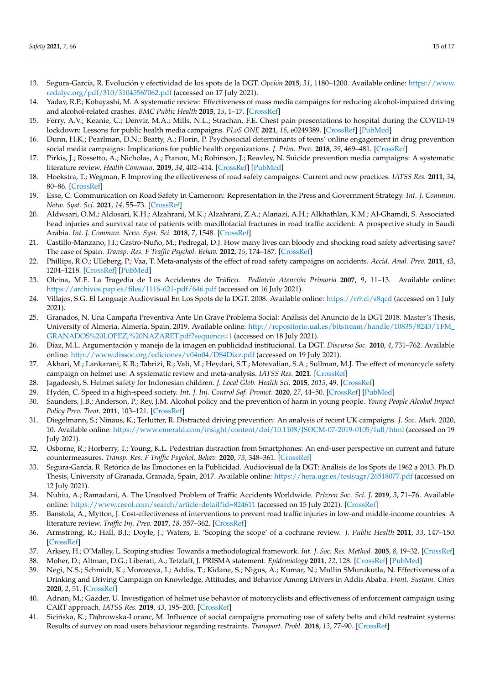- <span id="page-14-0"></span>13. Segura-García, R. Evolución y efectividad de los spots de la DGT. *Opción* **2015**, *31*, 1180–1200. Available online: [https://www.](https://www.redalyc.org/pdf/310/31045567062.pdf) [redalyc.org/pdf/310/31045567062.pdf](https://www.redalyc.org/pdf/310/31045567062.pdf) (accessed on 17 July 2021).
- <span id="page-14-1"></span>14. Yadav, R.P.; Kobayashi, M. A systematic review: Effectiveness of mass media campaigns for reducing alcohol-impaired driving and alcohol-related crashes. *BMC Public Health* **2015**, *15*, 1–17. [\[CrossRef\]](http://doi.org/10.1186/s12889-015-2088-4)
- 15. Ferry, A.V.; Keanie, C.; Denvir, M.A.; Mills, N.L.; Strachan, F.E. Chest pain presentations to hospital during the COVID-19 lockdown: Lessons for public health media campaigns. *PLoS ONE* **2021**, *16*, e0249389. [\[CrossRef\]](http://doi.org/10.1371/journal.pone.0249389) [\[PubMed\]](http://www.ncbi.nlm.nih.gov/pubmed/33793662)
- 16. Dunn, H.K.; Pearlman, D.N.; Beatty, A.; Florin, P. Psychosocial determinants of teens' online engagement in drug prevention social media campaigns: Implications for public health organizations. *J. Prim. Prev.* **2018**, *39*, 469–481. [\[CrossRef\]](http://doi.org/10.1007/s10935-018-0522-y)
- <span id="page-14-2"></span>17. Pirkis, J.; Rossetto, A.; Nicholas, A.; Ftanou, M.; Robinson, J.; Reavley, N. Suicide prevention media campaigns: A systematic literature review. *Health Commun.* **2019**, *34*, 402–414. [\[CrossRef\]](http://doi.org/10.1080/10410236.2017.1405484) [\[PubMed\]](http://www.ncbi.nlm.nih.gov/pubmed/29190128)
- <span id="page-14-3"></span>18. Hoekstra, T.; Wegman, F. Improving the effectiveness of road safety campaigns: Current and new practices. *IATSS Res.* **2011**, *34*, 80–86. [\[CrossRef\]](http://doi.org/10.1016/j.iatssr.2011.01.003)
- 19. Esse, C. Communication on Road Safety in Cameroon: Representation in the Press and Government Strategy. *Int. J. Commun. Netw. Syst. Sci.* **2021**, *14*, 55–73. [\[CrossRef\]](http://doi.org/10.4236/ijcns.2021.145005)
- <span id="page-14-4"></span>20. Aldwsari, O.M.; Aldosari, K.H.; Alzahrani, M.K.; Alzahrani, Z.A.; Alanazi, A.H.; Alkhathlan, K.M.; Al-Ghamdi, S. Associated head injuries and survival rate of patients with maxillofacial fractures in road traffic accident: A prospective study in Saudi Arabia. *Int. J. Commun. Netw. Syst. Sci.* **2018**, *7*, 1548. [\[CrossRef\]](http://doi.org/10.4103/jfmpc.jfmpc_101_18)
- <span id="page-14-5"></span>21. Castillo-Manzano, J.I.; Castro-Nuño, M.; Pedregal, D.J. How many lives can bloody and shocking road safety advertising save? The case of Spain. *Transp. Res. F Traffic Psychol. Behav.* **2012**, *15*, 174–187. [\[CrossRef\]](http://doi.org/10.1016/j.trf.2011.12.008)
- <span id="page-14-6"></span>22. Phillips, R.O.; Ulleberg, P.; Vaa, T. Meta-analysis of the effect of road safety campaigns on accidents. *Accid. Anal. Prev.* **2011**, *43*, 1204–1218. [\[CrossRef\]](http://doi.org/10.1016/j.aap.2011.01.002) [\[PubMed\]](http://www.ncbi.nlm.nih.gov/pubmed/21376920)
- <span id="page-14-7"></span>23. Olcina, M.E. La Tragedia de Los Accidentes de Tráfico. *Pediatría Atención Primaria* **2007**, *9*, 11–13. Available online: <https://archivos.pap.es/files/1116-621-pdf/646.pdf> (accessed on 16 July 2021).
- <span id="page-14-8"></span>24. Villajos, S.G. El Lenguaje Audiovisual En Los Spots de la DGT. 2008. Available online: <https://n9.cl/s8qcd> (accessed on 1 July 2021).
- <span id="page-14-9"></span>25. Granados, N. Una Campaña Preventiva Ante Un Grave Problema Social: Análisis del Anuncio de la DGT 2018. Master's Thesis, University of Almeria, Almería, Spain, 2019. Available online: [http://repositorio.ual.es/bitstream/handle/10835/8243/TFM\\_](http://repositorio.ual.es/bitstream/handle/10835/8243/TFM_GRANADOS%20LOPEZ,%20NAZARET.pdf?sequence=1) [GRANADOS%20LOPEZ,%20NAZARET.pdf?sequence=1](http://repositorio.ual.es/bitstream/handle/10835/8243/TFM_GRANADOS%20LOPEZ,%20NAZARET.pdf?sequence=1) (accessed on 18 July 2021).
- <span id="page-14-10"></span>26. Diaz, M.L. Argumentación y manejo de la imagen en publicidad institucional. La DGT. *Discurso Soc.* **2010**, *4*, 731–762. Available online: <http://www.dissoc.org/ediciones/v04n04/DS4Diaz.pdf> (accessed on 19 July 2021).
- 27. Akbari, M.; Lankarani, K.B.; Tabrizi, R.; Vali, M.; Heydari, S.T.; Motevalian, S.A.; Sullman, M.J. The effect of motorcycle safety campaign on helmet use: A systematic review and meta-analysis. *IATSS Res.* **2021**. [\[CrossRef\]](http://doi.org/10.1016/j.iatssr.2021.06.001)
- 28. Jagadeesh, S. Helmet safety for Indonesian children. *J. Local Glob. Health Sci.* **2015**, *2015*, 49. [\[CrossRef\]](http://doi.org/10.5339/jlghs.2015.itma.49)
- 29. Hydén, C. Speed in a high-speed society. *Int. J. Inj. Control Saf. Promot.* **2020**, *27*, 44–50. [\[CrossRef\]](http://doi.org/10.1080/17457300.2019.1680566) [\[PubMed\]](http://www.ncbi.nlm.nih.gov/pubmed/31656123)
- <span id="page-14-11"></span>30. Saunders, J.B.; Anderson, P.; Rey, J.M. Alcohol policy and the prevention of harm in young people. *Young People Alcohol Impact Policy Prev. Treat.* **2011**, 103–121. [\[CrossRef\]](http://doi.org/10.1002/9781118785089.ch7)
- <span id="page-14-12"></span>31. Diegelmann, S.; Ninaus, K.; Terlutter, R. Distracted driving prevention: An analysis of recent UK campaigns. *J. Soc. Mark.* 2020, 10. Available online: <https://www.emerald.com/insight/content/doi/10.1108/JSOCM-07-2019-0105/full/html> (accessed on 19 July 2021).
- <span id="page-14-13"></span>32. Osborne, R.; Horberry, T.; Young, K.L. Pedestrian distraction from Smartphones: An end-user perspective on current and future countermeasures. *Transp. Res. F Traffic Psychol. Behav.* **2020**, *73*, 348–361. [\[CrossRef\]](http://doi.org/10.1016/j.trf.2020.07.007)
- <span id="page-14-14"></span>33. Segura-García, R. Retórica de las Emociones en la Publicidad. Audiovisual de la DGT: Análisis de los Spots de 1962 a 2013. Ph.D. Thesis, University of Granada, Granada, Spain, 2017. Available online: <https://hera.ugr.es/tesisugr/26518077.pdf> (accessed on 12 July 2021).
- <span id="page-14-15"></span>34. Nuhiu, A.; Ramadani, A. The Unsolved Problem of Traffic Accidents Worldwide. *Prizren Soc. Sci. J.* **2019**, *3*, 71–76. Available online: <https://www.ceeol.com/search/article-detail?id=824611> (accessed on 15 July 2021). [\[CrossRef\]](http://doi.org/10.32936/pssj.v3i3.116)
- <span id="page-14-16"></span>35. Banstola, A.; Mytton, J. Cost-effectiveness of interventions to prevent road traffic injuries in low-and middle-income countries: A literature review. *Traffic Inj. Prev.* **2017**, *18*, 357–362. [\[CrossRef\]](http://doi.org/10.1080/15389588.2016.1212165)
- <span id="page-14-17"></span>36. Armstrong, R.; Hall, B.J.; Doyle, J.; Waters, E. 'Scoping the scope' of a cochrane review. *J. Public Health* **2011**, *33*, 147–150. [\[CrossRef\]](http://doi.org/10.1093/pubmed/fdr015)
- <span id="page-14-18"></span>37. Arksey, H.; O'Malley, L. Scoping studies: Towards a methodological framework. *Int. J. Soc. Res. Method.* **2005**, *8*, 19–32. [\[CrossRef\]](http://doi.org/10.1080/1364557032000119616)
- <span id="page-14-19"></span>38. Moher, D.; Altman, D.G.; Liberati, A.; Tetzlaff, J. PRISMA statement. *Epidemiology* **2011**, *22*, 128. [\[CrossRef\]](http://doi.org/10.1097/EDE.0b013e3181fe7825) [\[PubMed\]](http://www.ncbi.nlm.nih.gov/pubmed/21150360)
- <span id="page-14-20"></span>39. Negi, N.S.; Schmidt, K.; Morozova, I.; Addis, T.; Kidane, S.; Nigus, A.; Kumar, N.; Mullin SMurukutla, N. Effectiveness of a Drinking and Driving Campaign on Knowledge, Attitudes, and Behavior Among Drivers in Addis Ababa. *Front. Sustain. Cities* **2020**, *2*, 51. [\[CrossRef\]](http://doi.org/10.3389/frsc.2020.563350)
- <span id="page-14-21"></span>40. Adnan, M.; Gazder, U. Investigation of helmet use behavior of motorcyclists and effectiveness of enforcement campaign using CART approach. *IATSS Res.* **2019**, *43*, 195–203. [\[CrossRef\]](http://doi.org/10.1016/j.iatssr.2019.02.001)
- <span id="page-14-22"></span>41. Sicińska, K.; Dąbrowska-Loranc, M. Influence of social campaigns promoting use of safety belts and child restraint systems: Results of survey on road users behaviour regarding restraints. *Transport. Probl.* **2018**, *13*, 77–90. [\[CrossRef\]](http://doi.org/10.20858/tp.2018.13.4.8)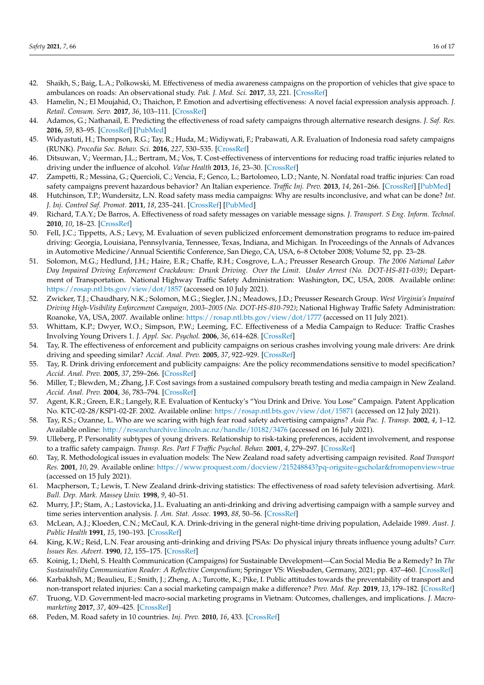- <span id="page-15-0"></span>42. Shaikh, S.; Baig, L.A.; Polkowski, M. Effectiveness of media awareness campaigns on the proportion of vehicles that give space to ambulances on roads: An observational study. *Pak. J. Med. Sci.* **2017**, *33*, 221. [\[CrossRef\]](http://doi.org/10.12669/pjms.331.12176)
- <span id="page-15-1"></span>43. Hamelin, N.; El Moujahid, O.; Thaichon, P. Emotion and advertising effectiveness: A novel facial expression analysis approach. *J. Retail. Consum. Serv.* **2017**, *36*, 103–111. [\[CrossRef\]](http://doi.org/10.1016/j.jretconser.2017.01.001)
- <span id="page-15-2"></span>44. Adamos, G.; Nathanail, E. Predicting the effectiveness of road safety campaigns through alternative research designs. *J. Saf. Res.* **2016**, *59*, 83–95. [\[CrossRef\]](http://doi.org/10.1016/j.jsr.2016.10.003) [\[PubMed\]](http://www.ncbi.nlm.nih.gov/pubmed/27847002)
- <span id="page-15-3"></span>45. Widyastuti, H.; Thompson, R.G.; Tay, R.; Huda, M.; Widiywati, F.; Prabawati, A.R. Evaluation of Indonesia road safety campaigns (RUNK). *Procedia Soc. Behav. Sci.* **2016**, *227*, 530–535. [\[CrossRef\]](http://doi.org/10.1016/j.sbspro.2016.06.111)
- <span id="page-15-4"></span>46. Ditsuwan, V.; Veerman, J.L.; Bertram, M.; Vos, T. Cost-effectiveness of interventions for reducing road traffic injuries related to driving under the influence of alcohol. *Value Health* **2013**, *16*, 23–30. [\[CrossRef\]](http://doi.org/10.1016/j.jval.2012.08.2209)
- <span id="page-15-5"></span>47. Zampetti, R.; Messina, G.; Quercioli, C.; Vencia, F.; Genco, L.; Bartolomeo, L.D.; Nante, N. Nonfatal road traffic injuries: Can road safety campaigns prevent hazardous behavior? An Italian experience. *Traffic Inj. Prev.* **2013**, *14*, 261–266. [\[CrossRef\]](http://doi.org/10.1080/15389588.2012.705189) [\[PubMed\]](http://www.ncbi.nlm.nih.gov/pubmed/23441944)
- <span id="page-15-6"></span>48. Hutchinson, T.P.; Wundersitz, L.N. Road safety mass media campaigns: Why are results inconclusive, and what can be done? *Int. J. Inj. Control Saf. Promot.* **2011**, *18*, 235–241. [\[CrossRef\]](http://doi.org/10.1080/17457300.2010.540330) [\[PubMed\]](http://www.ncbi.nlm.nih.gov/pubmed/21390985)
- <span id="page-15-7"></span>49. Richard, T.A.Y.; De Barros, A. Effectiveness of road safety messages on variable message signs. *J. Transport. S Eng. Inform. Technol.* **2010**, *10*, 18–23. [\[CrossRef\]](http://doi.org/10.1016/S1570-667260040-4)
- <span id="page-15-8"></span>50. Fell, J.C.; Tippetts, A.S.; Levy, M. Evaluation of seven publicized enforcement demonstration programs to reduce im-paired driving: Georgia, Louisiana, Pennsylvania, Tennessee, Texas, Indiana, and Michigan. In Proceedings of the Annals of Advances in Automotive Medicine/Annual Scientific Conference, San Diego, CA, USA, 6–8 October 2008; Volume 52, pp. 23–28.
- <span id="page-15-9"></span>51. Solomon, M.G.; Hedlund, J.H.; Haire, E.R.; Chaffe, R.H.; Cosgrove, L.A.; Preusser Research Group. *The 2006 National Labor Day Impaired Driving Enforcement Crackdown: Drunk Driving. Over the Limit. Under Arrest (No. DOT-HS-811-039)*; Department of Transportation. National Highway Traffic Safety Administration: Washington, DC, USA, 2008. Available online: <https://rosap.ntl.bts.gov/view/dot/1857> (accessed on 10 July 2021).
- <span id="page-15-10"></span>52. Zwicker, T.J.; Chaudhary, N.K.; Solomon, M.G.; Siegler, J.N.; Meadows, J.D.; Preusser Research Group. *West Virginia's Impaired Driving High-Visibility Enforcement Campaign, 2003–2005 (No. DOT-HS-810-792)*; National Highway Traffic Safety Administration: Roanoke, VA, USA, 2007. Available online: <https://rosap.ntl.bts.gov/view/dot/1777> (accessed on 11 July 2021).
- <span id="page-15-11"></span>53. Whittam, K.P.; Dwyer, W.O.; Simpson, P.W.; Leeming, F.C. Effectiveness of a Media Campaign to Reduce: Traffic Crashes Involving Young Drivers 1. *J. Appl. Soc. Psychol.* **2006**, *36*, 614–628. [\[CrossRef\]](http://doi.org/10.1111/j.0021-9029.2006.00021.x)
- <span id="page-15-12"></span>54. Tay, R. The effectiveness of enforcement and publicity campaigns on serious crashes involving young male drivers: Are drink driving and speeding similar? *Accid. Anal. Prev.* **2005**, *37*, 922–929. [\[CrossRef\]](http://doi.org/10.1016/j.aap.2005.04.010)
- <span id="page-15-13"></span>55. Tay, R. Drink driving enforcement and publicity campaigns: Are the policy recommendations sensitive to model specification? *Accid. Anal. Prev.* **2005**, *37*, 259–266. [\[CrossRef\]](http://doi.org/10.1016/j.aap.2004.10.001)
- <span id="page-15-14"></span>56. Miller, T.; Blewden, M.; Zhang, J.F. Cost savings from a sustained compulsory breath testing and media campaign in New Zealand. *Accid. Anal. Prev.* **2004**, *36*, 783–794. [\[CrossRef\]](http://doi.org/10.1016/j.aap.2003.07.003)
- <span id="page-15-15"></span>57. Agent, K.R.; Green, E.R.; Langely, R.E. Evaluation of Kentucky's "You Drink and Drive. You Lose" Campaign. Patent Application No. KTC-02-28/KSP1-02-2F. 2002. Available online: <https://rosap.ntl.bts.gov/view/dot/15871> (accessed on 12 July 2021).
- <span id="page-15-16"></span>58. Tay, R.S.; Ozanne, L. Who are we scaring with high fear road safety advertising campaigns? *Asia Pac. J. Transp.* **2002**, *4*, 1–12. Available online: <http://researcharchive.lincoln.ac.nz/handle/10182/3476> (accessed on 16 July 2021).
- <span id="page-15-17"></span>59. Ulleberg, P. Personality subtypes of young drivers. Relationship to risk-taking preferences, accident involvement, and response to a traffic safety campaign. *Transp. Res. Part F Traffic Psychol. Behav.* **2001**, *4*, 279–297. [\[CrossRef\]](http://doi.org/10.1016/S1369-8478(01)00029-8)
- <span id="page-15-18"></span>60. Tay, R. Methodological issues in evaluation models: The New Zealand road safety advertising campaign revisited. *Road Transport Res.* **2001**, *10*, 29. Available online: <https://www.proquest.com/docview/215248843?pq-origsite=gscholar&fromopenview=true> (accessed on 15 July 2021).
- <span id="page-15-19"></span>61. Macpherson, T.; Lewis, T. New Zealand drink-driving statistics: The effectiveness of road safety television advertising. *Mark. Bull. Dep. Mark. Massey Univ.* **1998**, *9*, 40–51.
- <span id="page-15-20"></span>62. Murry, J.P.; Stam, A.; Lastovicka, J.L. Evaluating an anti-drinking and driving advertising campaign with a sample survey and time series intervention analysis. *J. Am. Stat. Assoc.* **1993**, *88*, 50–56. [\[CrossRef\]](http://doi.org/10.1080/01621459.1993.10594288)
- <span id="page-15-21"></span>63. McLean, A.J.; Kloeden, C.N.; McCaul, K.A. Drink-driving in the general night-time driving population, Adelaide 1989. *Aust. J. Public Health* **1991**, *15*, 190–193. [\[CrossRef\]](http://doi.org/10.1111/j.1753-6405.1991.tb00333.x)
- <span id="page-15-22"></span>64. King, K.W.; Reid, L.N. Fear arousing anti-drinking and driving PSAs: Do physical injury threats influence young adults? *Curr. Issues Res. Advert.* **1990**, *12*, 155–175. [\[CrossRef\]](http://doi.org/10.1080/01633392.1990.10504950)
- <span id="page-15-23"></span>65. Koinig, I.; Diehl, S. Health Communication (Campaigns) for Sustainable Development—Can Social Media Be a Remedy? In *The Sustainability Communication Reader: A Reflective Compendium*; Springer VS: Wiesbaden, Germany, 2021; pp. 437–460. [\[CrossRef\]](http://doi.org/10.1007/978-3-658-31883-3_24)
- <span id="page-15-24"></span>66. Karbakhsh, M.; Beaulieu, E.; Smith, J.; Zheng, A.; Turcotte, K.; Pike, I. Public attitudes towards the preventability of transport and non-transport related injuries: Can a social marketing campaign make a difference? *Prev. Med. Rep.* **2019**, *13*, 179–182. [\[CrossRef\]](http://doi.org/10.1016/j.pmedr.2018.12.010)
- 67. Truong, V.D. Government-led macro-social marketing programs in Vietnam: Outcomes, challenges, and implications. *J. Macromarketing* **2017**, *37*, 409–425. [\[CrossRef\]](http://doi.org/10.1177/0276146716660833)
- <span id="page-15-25"></span>68. Peden, M. Road safety in 10 countries. *Inj. Prev.* **2010**, *16*, 433. [\[CrossRef\]](http://doi.org/10.1136/ip.2010.030155)